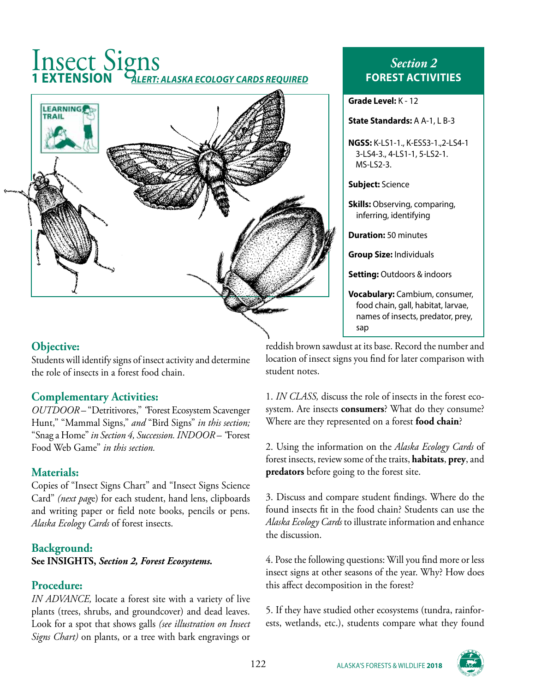# Insect Signs **1 EXTENSION** *ALERT: ALASKA ECOLOGY CARDS REQUIRED*



#### **Objective:**

Students will identify signs of insect activity and determine the role of insects in a forest food chain.

#### **Complementary Activities:**

*OUTDOOR –* "Detritivores," *"*Forest Ecosystem Scavenger Hunt," "Mammal Signs," *and* "Bird Signs" *in this section;*  "Snag a Home" *in Section 4, Succession. INDOOR – "*Forest Food Web Game" *in this section.*

#### **Materials:**

Copies of "Insect Signs Chart" and "Insect Signs Science Card" *(next pag*e) for each student, hand lens, clipboards and writing paper or field note books, pencils or pens. *Alaska Ecology Cards* of forest insects.

#### **Background:**

**See INSIGHTS,** *Section 2, Forest Ecosystems.*

#### **Procedure:**

*IN ADVANCE,* locate a forest site with a variety of live plants (trees, shrubs, and groundcover) and dead leaves. Look for a spot that shows galls *(see illustration on Insect Signs Chart)* on plants, or a tree with bark engravings or

### *Section 2* **FOREST ACTIVITIES**

**Grade Level:** K - 12

#### **State Standards:** A A-1, L B-3

**NGSS:** K-LS1-1., K-ESS3-1.,2-LS4-1 3-LS4-3., 4-LS1-1, 5-LS2-1. MS-LS2-3.

**Subject:** Science

**Skills:** Observing, comparing, inferring, identifying

**Duration:** 50 minutes

**Group Size:** Individuals

**Setting:** Outdoors & indoors

**Vocabulary:** Cambium, consumer, food chain, gall, habitat, larvae, names of insects, predator, prey, sap

reddish brown sawdust at its base. Record the number and location of insect signs you find for later comparison with student notes.

1. *IN CLASS,* discuss the role of insects in the forest ecosystem. Are insects **consumers**? What do they consume? Where are they represented on a forest **food chain**?

2. Using the information on the *Alaska Ecology Cards* of forest insects, review some of the traits, **habitats**, **prey**, and **predators** before going to the forest site.

3. Discuss and compare student findings. Where do the found insects fit in the food chain? Students can use the *Alaska Ecology Cards* to illustrate information and enhance the discussion.

4. Pose the following questions: Will you find more or less insect signs at other seasons of the year. Why? How does this affect decomposition in the forest?

5. If they have studied other ecosystems (tundra, rainforests, wetlands, etc.), students compare what they found

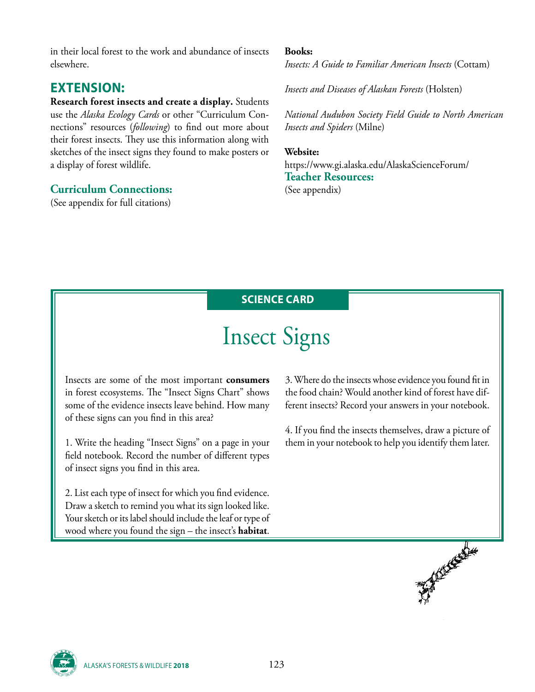in their local forest to the work and abundance of insects elsewhere.

## **EXTENSION:**

**Research forest insects and create a display.** Students use the *Alaska Ecology Cards* or other "Curriculum Connections" resources (*following*) to find out more about their forest insects. They use this information along with sketches of the insect signs they found to make posters or a display of forest wildlife.

#### **Curriculum Connections:**

(See appendix for full citations)

#### **Books:**

*Insects: A Guide to Familiar American Insects* (Cottam)

*Insects and Diseases of Alaskan Forests* (Holsten)

*National Audubon Society Field Guide to North American Insects and Spiders* (Milne)

#### **Website:** https://www.gi.alaska.edu/AlaskaScienceForum/ **Teacher Resources:** (See appendix)

**SCIENCE CARD**

# Insect Signs

Insects are some of the most important **consumers** in forest ecosystems. The "Insect Signs Chart" shows some of the evidence insects leave behind. How many of these signs can you find in this area?

1. Write the heading "Insect Signs" on a page in your field notebook. Record the number of different types of insect signs you find in this area.

2. List each type of insect for which you find evidence. Draw a sketch to remind you what its sign looked like. Your sketch or its label should include the leaf or type of wood where you found the sign – the insect's **habitat**.

3. Where do the insects whose evidence you found fit in the food chain? Would another kind of forest have different insects? Record your answers in your notebook.

4. If you find the insects themselves, draw a picture of them in your notebook to help you identify them later.



ALASKA'S FORESTS & WILDLIFE **<sup>2018</sup>** 123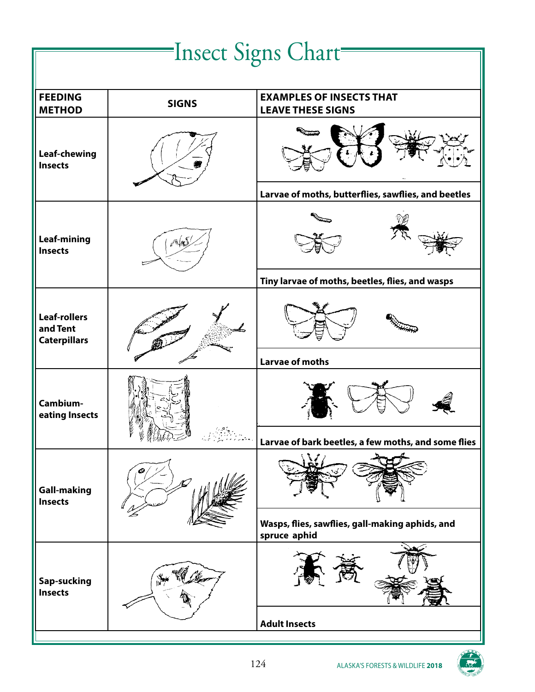# Insect Signs Chart **FEEDING METHOD** SIGNS EXAMPLES OF INSECTS THAT **SIGNS LEAVE THESE SIGNS Leaf-chewing Insects Larvae of moths, butterflies, sawflies, and beetles Leaf-mining Insects Tiny larvae of moths, beetles, flies, and wasps Leaf-rollers and Tent Caterpillars Larvae of moths Cambiumeating Insects Larvae of bark beetles, a few moths, and some flies Gall-making Insects Wasps, flies, sawflies, gall-making aphids, and spruce aphid Sap-sucking Insects Adult Insects**

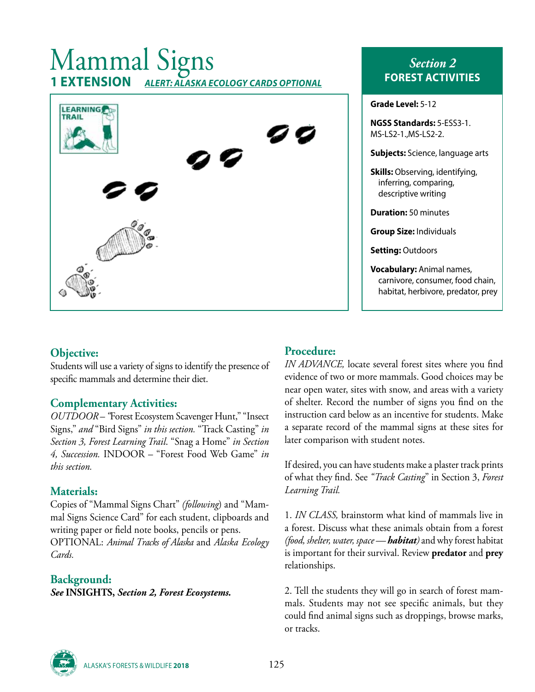# Mammal Signs<br>1 EXTENSION ALERT: ALASKA E **1 EXTENSION** *ALERT: ALASKA ECOLOGY CARDS OPTIONAL*



## *Section 2* **FOREST ACTIVITIES**

**Grade Level:** 5-12

| <b>NGSS Standards: 5-ESS3-1.</b><br>MS-LS2-1.,MS-LS2-2.                                                    |
|------------------------------------------------------------------------------------------------------------|
| <b>Subjects:</b> Science, language arts                                                                    |
| <b>Skills:</b> Observing, identifying,<br>inferring, comparing,<br>descriptive writing                     |
| <b>Duration: 50 minutes</b>                                                                                |
| <b>Group Size: Individuals</b>                                                                             |
| <b>Setting: Outdoors</b>                                                                                   |
| <b>Vocabulary: Animal names,</b><br>carnivore, consumer, food chain,<br>habitat, herbivore, predator, prey |
|                                                                                                            |

#### **Objective:**

Students will use a variety of signs to identify the presence of specific mammals and determine their diet.

#### **Complementary Activities:**

*OUTDOOR – "*Forest Ecosystem Scavenger Hunt," "Insect Signs," *and* "Bird Signs" *in this section.* "Track Casting" *in Section 3, Forest Learning Trail*. "Snag a Home" *in Section 4, Succession.* INDOOR – "Forest Food Web Game" *in this section.*

#### **Materials:**

Copies of "Mammal Signs Chart" *(following*) and "Mammal Signs Science Card" for each student, clipboards and writing paper or field note books, pencils or pens.

OPTIONAL: *Animal Tracks of Alaska* and *Alaska Ecology Cards.*

#### **Background:**

*See* **INSIGHTS,** *Section 2, Forest Ecosystems.*

#### **Procedure:**

*IN ADVANCE,* locate several forest sites where you find evidence of two or more mammals. Good choices may be near open water, sites with snow, and areas with a variety of shelter. Record the number of signs you find on the instruction card below as an incentive for students. Make a separate record of the mammal signs at these sites for later comparison with student notes.

If desired, you can have students make a plaster track prints of what they find. See *"Track Casting*" in Section 3, *Forest Learning Trail.*

1. *IN CLASS,* brainstorm what kind of mammals live in a forest. Discuss what these animals obtain from a forest *(food, shelter, water, space — habitat)* and why forest habitat is important for their survival. Review **predator** and **prey** relationships.

2. Tell the students they will go in search of forest mammals. Students may not see specific animals, but they could find animal signs such as droppings, browse marks, or tracks.



ALASKA'S FORESTS & WILDLIFE **2018** 125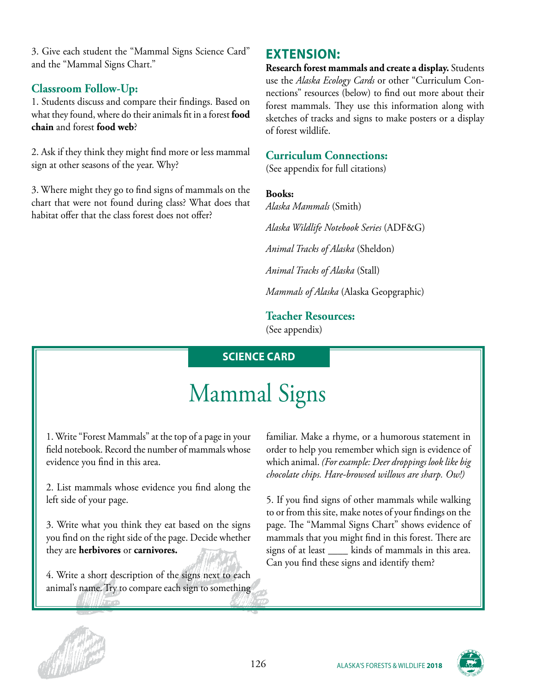3. Give each student the "Mammal Signs Science Card" and the "Mammal Signs Chart."

#### **Classroom Follow-Up:**

1. Students discuss and compare their findings. Based on what they found, where do their animals fit in a forest **food chain** and forest **food web**?

2. Ask if they think they might find more or less mammal sign at other seasons of the year. Why?

3. Where might they go to find signs of mammals on the chart that were not found during class? What does that habitat offer that the class forest does not offer?

## **EXTENSION:**

**Research forest mammals and create a display.** Students use the *Alaska Ecology Cards* or other "Curriculum Connections" resources (below) to find out more about their forest mammals. They use this information along with sketches of tracks and signs to make posters or a display of forest wildlife.

#### **Curriculum Connections:**

(See appendix for full citations)

#### **Books:**

*Alaska Mammals* (Smith) *Alaska Wildlife Notebook Series* (ADF&G) *Animal Tracks of Alaska* (Sheldon) *Animal Tracks of Alaska* (Stall) *Mammals of Alaska* (Alaska Geopgraphic)

## **Teacher Resources:**

(See appendix)

## **SCIENCE CARD**

# Mammal Signs

1. Write "Forest Mammals" at the top of a page in your field notebook. Record the number of mammals whose evidence you find in this area.

2. List mammals whose evidence you find along the left side of your page.

3. Write what you think they eat based on the signs you find on the right side of the page. Decide whether they are **herbivores** or **carnivores.**

4. Write a short description of the signs next to each animal's name. Try to compare each sign to something familiar. Make a rhyme, or a humorous statement in order to help you remember which sign is evidence of which animal. *(For example: Deer droppings look like big chocolate chips. Hare-browsed willows are sharp. Ow!)*

5. If you find signs of other mammals while walking to or from this site, make notes of your findings on the page. The "Mammal Signs Chart" shows evidence of mammals that you might find in this forest. There are signs of at least \_\_\_\_\_ kinds of mammals in this area. Can you find these signs and identify them?



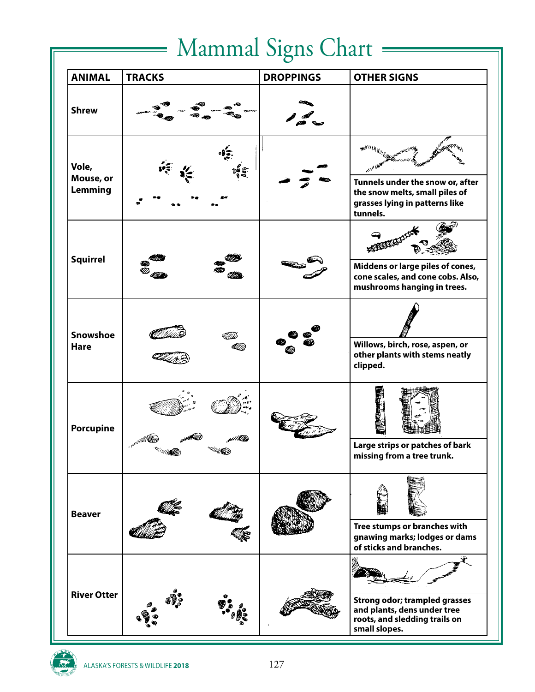# Mammal Signs Chart =

 $\equiv$ 

| <b>ANIMAL</b>                  | <b>TRACKS</b> | <b>DROPPINGS</b> | <b>OTHER SIGNS</b>                                                                                                    |
|--------------------------------|---------------|------------------|-----------------------------------------------------------------------------------------------------------------------|
| <b>Shrew</b>                   |               |                  |                                                                                                                       |
| Vole,<br>Mouse, or<br>Lemming  |               |                  | Tunnels under the snow or, after<br>the snow melts, small piles of<br>grasses lying in patterns like<br>tunnels.      |
| <b>Squirrel</b>                |               |                  | Middens or large piles of cones,<br>cone scales, and cone cobs. Also,<br>mushrooms hanging in trees.                  |
| <b>Snowshoe</b><br><b>Hare</b> |               |                  | Willows, birch, rose, aspen, or<br>other plants with stems neatly<br>clipped.                                         |
| <b>Porcupine</b>               |               |                  | Large strips or patches of bark<br>missing from a tree trunk.                                                         |
| <b>Beaver</b>                  |               |                  | Tree stumps or branches with<br>gnawing marks; lodges or dams<br>of sticks and branches.                              |
| <b>River Otter</b>             |               |                  | <b>Strong odor; trampled grasses</b><br>and plants, dens under tree<br>roots, and sledding trails on<br>small slopes. |

 $\frac{1}{\sqrt{2}}$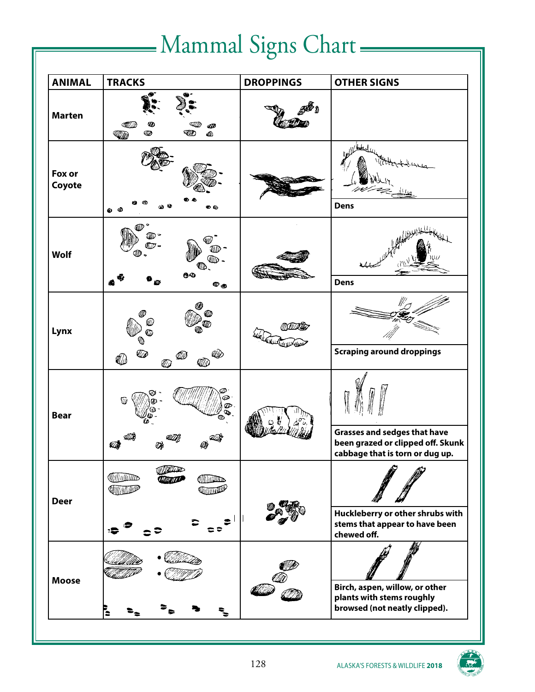# -Mammal Signs Chart-

| <b>ANIMAL</b>    | <b>TRACKS</b>                                                                                     | <b>DROPPINGS</b> | <b>OTHER SIGNS</b>                                                                                          |
|------------------|---------------------------------------------------------------------------------------------------|------------------|-------------------------------------------------------------------------------------------------------------|
| <b>Marten</b>    | Ø<br>Ø<br>Œ₽<br>ℼ<br><b>Allin</b>                                                                 |                  |                                                                                                             |
| Fox or<br>Coyote | O Q<br>$\bullet$ $\bullet$                                                                        |                  | <b>Dens</b>                                                                                                 |
| Wolf             | $\mathbb{Z}$ <sup><math>\degree</math></sup><br>w.<br>ած<br><b>00</b><br>$\pmb{\nabla_{\text{c}}$ |                  | <b>Dens</b>                                                                                                 |
| Lynx             | ⅏<br>Ø<br>0<br>Ø<br><b>KID</b><br>Ø                                                               | YYULIYALIG       | <b>Scraping around droppings</b>                                                                            |
| <b>Bear</b>      | Ф<br>Ø<br>o,<br>lb<br>ILA                                                                         |                  | <b>Grasses and sedges that have</b><br>been grazed or clipped off. Skunk<br>cabbage that is torn or dug up. |
| <b>Deer</b>      | <b>Williams</b><br><b>illinum</b><br>WITH WE WANT<br>QIIIItniinillill                             |                  | Huckleberry or other shrubs with<br>stems that appear to have been<br>chewed off.                           |
| <b>Moose</b>     | Ē                                                                                                 |                  | Birch, aspen, willow, or other<br>plants with stems roughly<br>browsed (not neatly clipped).                |

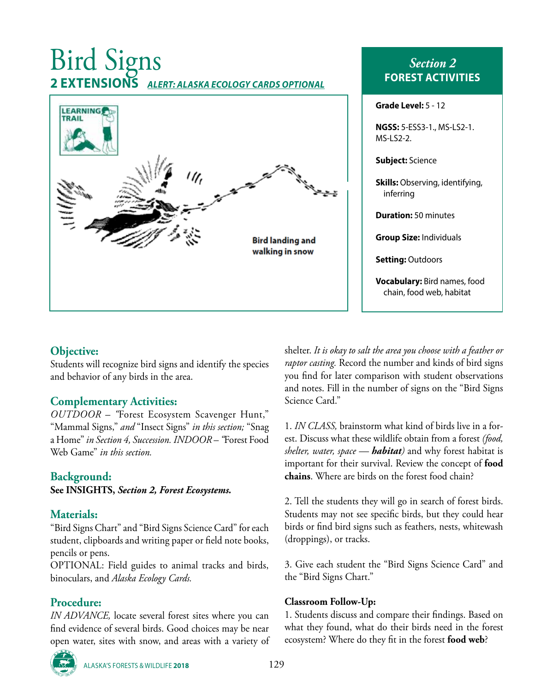# Bird Signs **2 EXTENSIONS** *ALERT: ALASKA ECOLOGY CARDS OPTIONAL*



## *Section 2* **FOREST ACTIVITIES**

| Grade Level: 5 - 12                                             |  |  |
|-----------------------------------------------------------------|--|--|
| <b>NGSS:</b> 5-ESS3-1., MS-LS2-1.<br>MS-LS2-2.                  |  |  |
| <b>Subject:</b> Science                                         |  |  |
| <b>Skills:</b> Observing, identifying,<br>inferring             |  |  |
| <b>Duration: 50 minutes</b>                                     |  |  |
| <b>Group Size: Individuals</b>                                  |  |  |
| <b>Setting:</b> Outdoors                                        |  |  |
| <b>Vocabulary:</b> Bird names, food<br>chain, food web, habitat |  |  |

#### **Objective:**

Students will recognize bird signs and identify the species and behavior of any birds in the area.

#### **Complementary Activities:**

*OUTDOOR – "*Forest Ecosystem Scavenger Hunt," "Mammal Signs," *and* "Insect Signs" *in this section;* "Snag a Home" *in Section 4, Succession. INDOOR – "*Forest Food Web Game" *in this section.*

#### **Background:**

**See INSIGHTS,** *Section 2, Forest Ecosystems.*

#### **Materials:**

"Bird Signs Chart" and "Bird Signs Science Card" for each student, clipboards and writing paper or field note books, pencils or pens.

OPTIONAL: Field guides to animal tracks and birds, binoculars, and *Alaska Ecology Cards.*

### **Procedure:**

*IN ADVANCE,* locate several forest sites where you can find evidence of several birds. Good choices may be near open water, sites with snow, and areas with a variety of



ALASKA'S FORESTS & WILDLIFE **<sup>2018</sup>** 129

shelter. *It is okay to salt the area you choose with a feather or raptor casting.* Record the number and kinds of bird signs you find for later comparison with student observations and notes. Fill in the number of signs on the "Bird Signs Science Card."

1. *IN CLASS,* brainstorm what kind of birds live in a forest. Discuss what these wildlife obtain from a forest *(food, shelter, water, space — habitat)* and why forest habitat is important for their survival. Review the concept of **food chains**. Where are birds on the forest food chain?

2. Tell the students they will go in search of forest birds. Students may not see specific birds, but they could hear birds or find bird signs such as feathers, nests, whitewash (droppings), or tracks.

3. Give each student the "Bird Signs Science Card" and the "Bird Signs Chart."

#### **Classroom Follow-Up:**

1. Students discuss and compare their findings. Based on what they found, what do their birds need in the forest ecosystem? Where do they fit in the forest **food web**?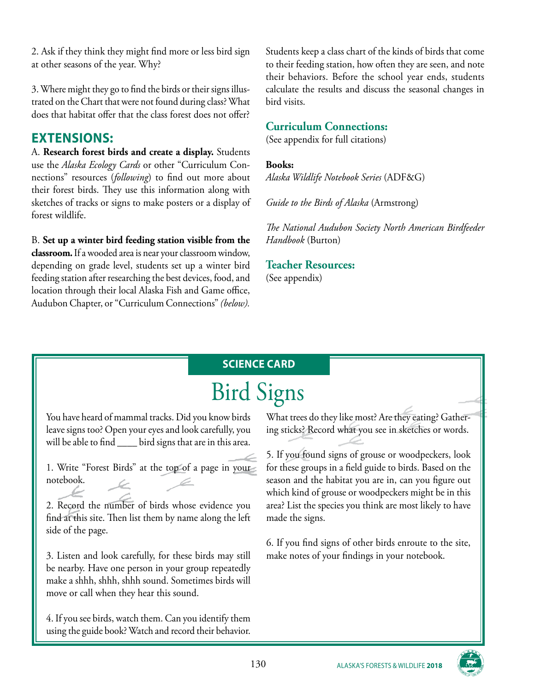2. Ask if they think they might find more or less bird sign at other seasons of the year. Why?

3. Where might they go to find the birds or their signs illustrated on the Chart that were not found during class? What does that habitat offer that the class forest does not offer?

## **EXTENSIONS:**

A. **Research forest birds and create a display.** Students use the *Alaska Ecology Cards* or other "Curriculum Connections" resources (*following*) to find out more about their forest birds. They use this information along with sketches of tracks or signs to make posters or a display of forest wildlife.

B. **Set up a winter bird feeding station visible from the classroom.** If a wooded area is near your classroom window, depending on grade level, students set up a winter bird feeding station after researching the best devices, food, and location through their local Alaska Fish and Game office, Audubon Chapter, or "Curriculum Connections" *(below).*

Students keep a class chart of the kinds of birds that come to their feeding station, how often they are seen, and note their behaviors. Before the school year ends, students calculate the results and discuss the seasonal changes in bird visits.

#### **Curriculum Connections:**

(See appendix for full citations)

#### **Books:**

*Alaska Wildlife Notebook Series* (ADF&G)

*Guide to the Birds of Alaska* (Armstrong)

*The National Audubon Society North American Birdfeeder Handbook* (Burton)

## **Teacher Resources:**

(See appendix)

# **SCIENCE CARD**

# Bird Signs

You have heard of mammal tracks. Did you know birds leave signs too? Open your eyes and look carefully, you will be able to find \_\_\_\_\_ bird signs that are in this area.

1. Write "Forest Birds" at the top of a page in your notebook.

2. Record the number of birds whose evidence you find at this site. Then list them by name along the left side of the page.

3. Listen and look carefully, for these birds may still be nearby. Have one person in your group repeatedly make a shhh, shhh, shhh sound. Sometimes birds will move or call when they hear this sound.

4. If you see birds, watch them. Can you identify them using the guide book? Watch and record their behavior.

What trees do they like most? Are they eating? Gathering sticks? Record what you see in sketches or words.

5. If you found signs of grouse or woodpeckers, look for these groups in a field guide to birds. Based on the season and the habitat you are in, can you figure out which kind of grouse or woodpeckers might be in this area? List the species you think are most likely to have made the signs.

6. If you find signs of other birds enroute to the site, make notes of your findings in your notebook.